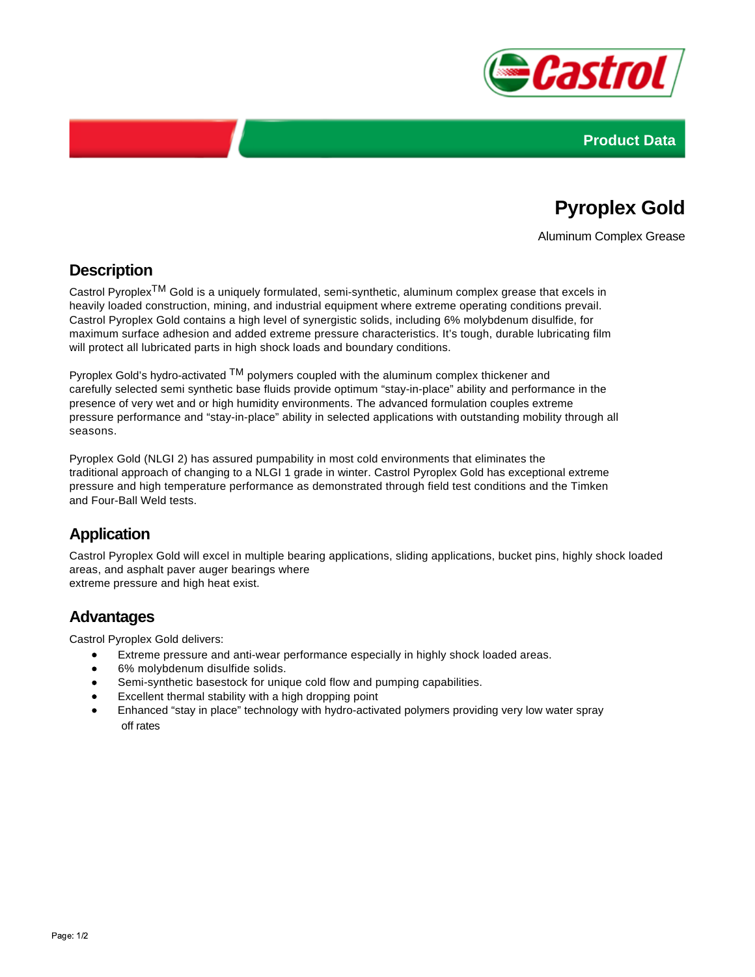



# **Pyroplex Gold**

Aluminum Complex Grease

### **Description**

Castrol PyroplexTM Gold is a uniquely formulated, semi-synthetic, aluminum complex grease that excels in heavily loaded construction, mining, and industrial equipment where extreme operating conditions prevail. Castrol Pyroplex Gold contains a high level of synergistic solids, including 6% molybdenum disulfide, for maximum surface adhesion and added extreme pressure characteristics. It's tough, durable lubricating film will protect all lubricated parts in high shock loads and boundary conditions.

Pyroplex Gold's hydro-activated <sup>TM</sup> polymers coupled with the aluminum complex thickener and carefully selected semi synthetic base fluids provide optimum "stay-in-place" ability and performance in the presence of very wet and or high humidity environments. The advanced formulation couples extreme pressure performance and "stay-in-place" ability in selected applications with outstanding mobility through all seasons.

Pyroplex Gold (NLGI 2) has assured pumpability in most cold environments that eliminates the traditional approach of changing to a NLGI 1 grade in winter. Castrol Pyroplex Gold has exceptional extreme pressure and high temperature performance as demonstrated through field test conditions and the Timken and Four-Ball Weld tests.

## **Application**

Castrol Pyroplex Gold will excel in multiple bearing applications, sliding applications, bucket pins, highly shock loaded areas, and asphalt paver auger bearings where extreme pressure and high heat exist.

### **Advantages**

Castrol Pyroplex Gold delivers:

- Extreme pressure and anti-wear performance especially in highly shock loaded areas.
- 6% molybdenum disulfide solids.
- $\bullet$ Semi-synthetic basestock for unique cold flow and pumping capabilities.
- Excellent thermal stability with a high dropping point
- Enhanced "stay in place" technology with hydro-activated polymers providing very low water spray off rates